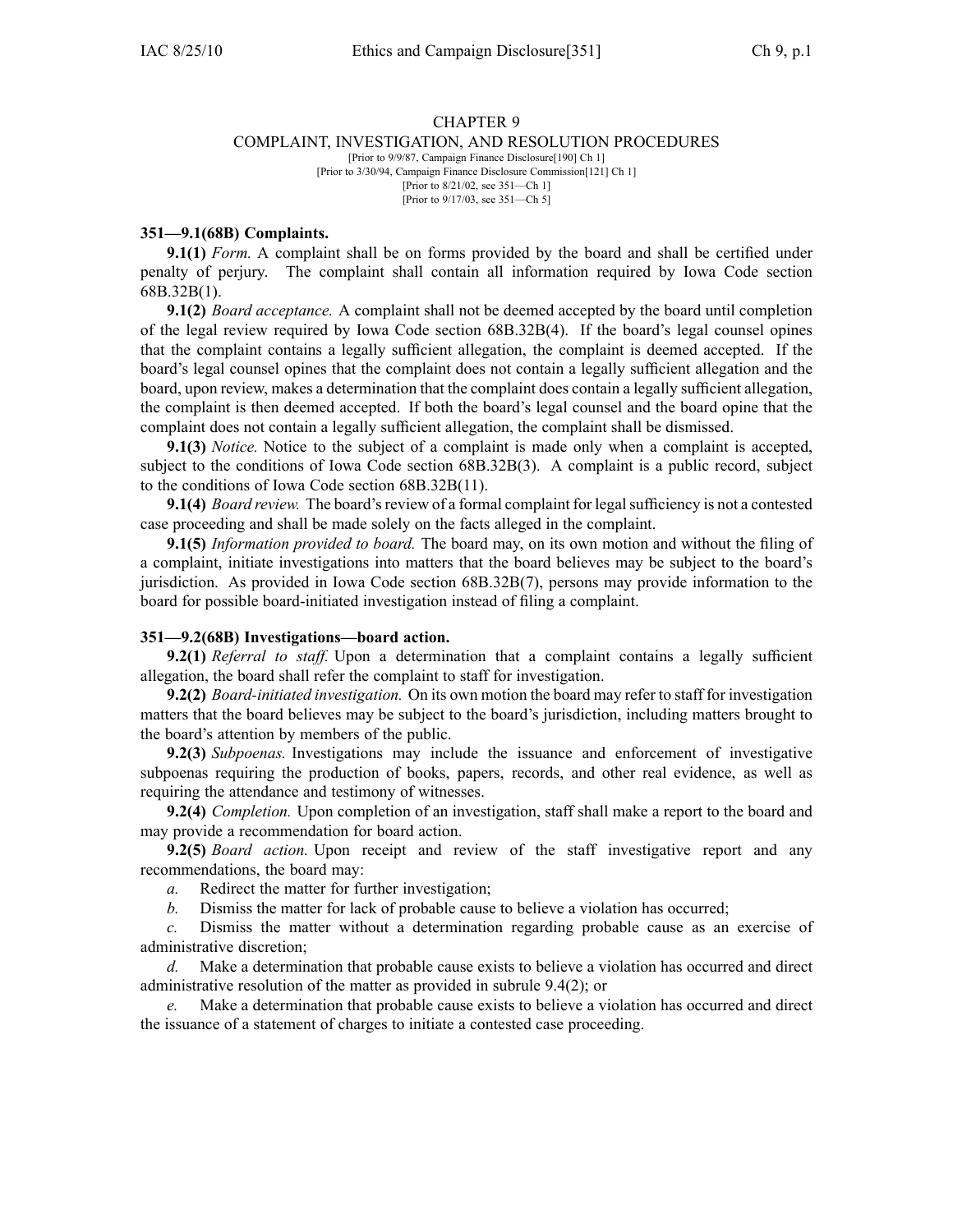## CHAPTER 9 COMPLAINT, INVESTIGATION, AND RESOLUTION PROCEDURES [Prior to 9/9/87, Campaign Finance Disclosure[190] Ch 1] [Prior to 3/30/94, Campaign Finance Disclosure Commission[121] Ch 1]

[Prior to 8/21/02, see 351—Ch 1] [Prior to 9/17/03, see 351—Ch 5]

## **351—9.1(68B) Complaints.**

**9.1(1)** *Form.* A complaint shall be on forms provided by the board and shall be certified under penalty of perjury. The complaint shall contain all information required by Iowa Code section 68B.32B(1).

**9.1(2)** *Board acceptance.* A complaint shall not be deemed accepted by the board until completion of the legal review required by Iowa Code section 68B.32B(4). If the board's legal counsel opines that the complaint contains <sup>a</sup> legally sufficient allegation, the complaint is deemed accepted. If the board's legal counsel opines that the complaint does not contain <sup>a</sup> legally sufficient allegation and the board, upon review, makes <sup>a</sup> determination that the complaint does contain <sup>a</sup> legally sufficient allegation, the complaint is then deemed accepted. If both the board's legal counsel and the board opine that the complaint does not contain <sup>a</sup> legally sufficient allegation, the complaint shall be dismissed.

**9.1(3)** *Notice.* Notice to the subject of <sup>a</sup> complaint is made only when <sup>a</sup> complaint is accepted, subject to the conditions of Iowa Code section 68B.32B(3). A complaint is <sup>a</sup> public record, subject to the conditions of Iowa Code section 68B.32B(11).

**9.1(4)** *Board review.* The board's review of a formal complaint for legal sufficiency is not a contested case proceeding and shall be made solely on the facts alleged in the complaint.

**9.1(5)** *Information provided to board.* The board may, on its own motion and without the filing of <sup>a</sup> complaint, initiate investigations into matters that the board believes may be subject to the board's jurisdiction. As provided in Iowa Code section 68B.32B(7), persons may provide information to the board for possible board-initiated investigation instead of filing <sup>a</sup> complaint.

## **351—9.2(68B) Investigations—board action.**

**9.2(1)** *Referral to staff.* Upon <sup>a</sup> determination that <sup>a</sup> complaint contains <sup>a</sup> legally sufficient allegation, the board shall refer the complaint to staff for investigation.

**9.2(2)** *Board-initiated investigation.* On its own motion the board may refer to staff for investigation matters that the board believes may be subject to the board's jurisdiction, including matters brought to the board's attention by members of the public.

**9.2(3)** *Subpoenas.* Investigations may include the issuance and enforcement of investigative subpoenas requiring the production of books, papers, records, and other real evidence, as well as requiring the attendance and testimony of witnesses.

**9.2(4)** *Completion.* Upon completion of an investigation, staff shall make <sup>a</sup> repor<sup>t</sup> to the board and may provide <sup>a</sup> recommendation for board action.

**9.2(5)** *Board action.* Upon receipt and review of the staff investigative repor<sup>t</sup> and any recommendations, the board may:

*a.* Redirect the matter for further investigation;

*b.* Dismiss the matter for lack of probable cause to believe <sup>a</sup> violation has occurred;

*c.* Dismiss the matter without <sup>a</sup> determination regarding probable cause as an exercise of administrative discretion;

*d.* Make <sup>a</sup> determination that probable cause exists to believe <sup>a</sup> violation has occurred and direct administrative resolution of the matter as provided in subrule 9.4(2); or

*e.* Make <sup>a</sup> determination that probable cause exists to believe <sup>a</sup> violation has occurred and direct the issuance of <sup>a</sup> statement of charges to initiate <sup>a</sup> contested case proceeding.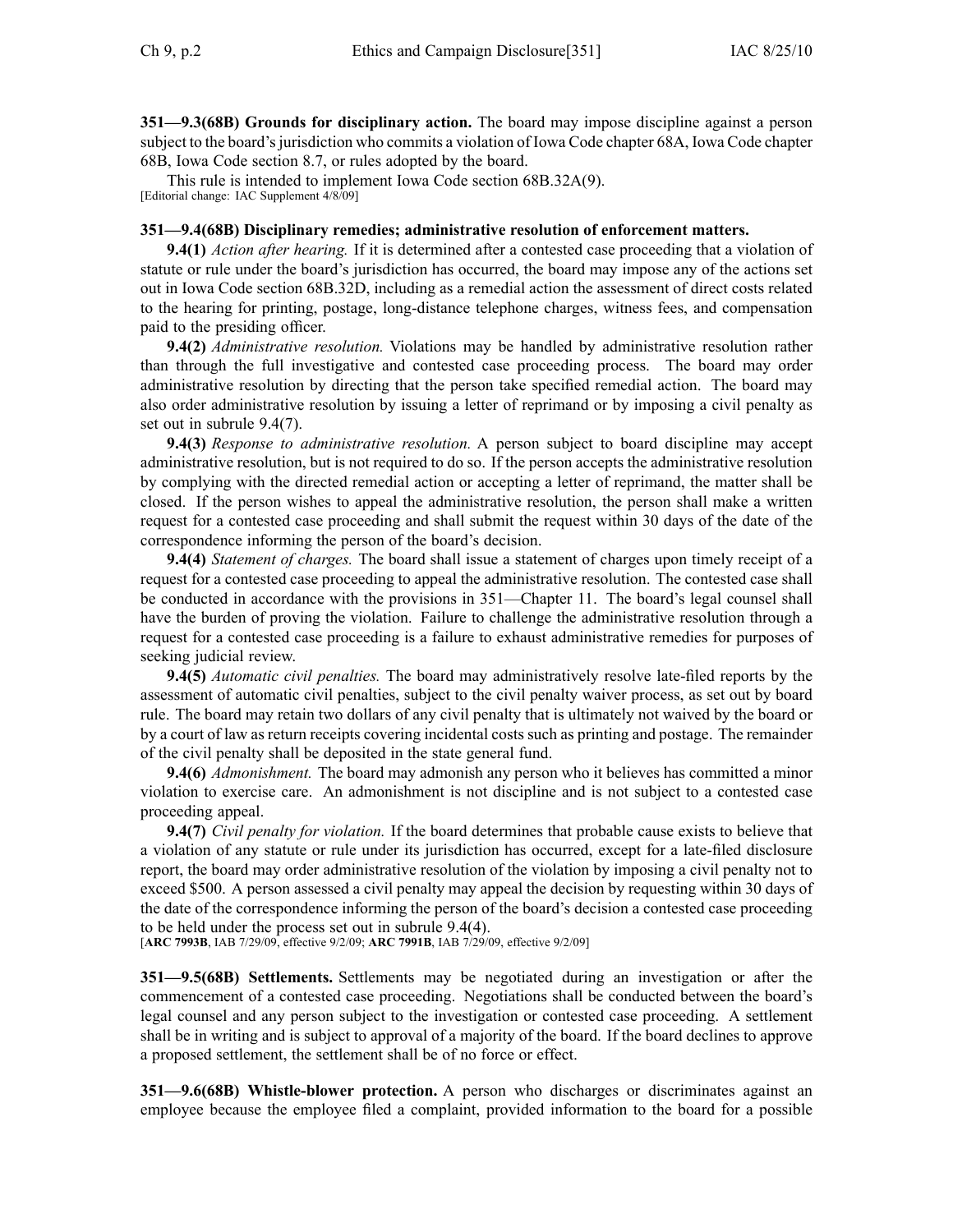**351—9.3(68B) Grounds for disciplinary action.** The board may impose discipline against <sup>a</sup> person subject to the board's jurisdiction who commits a violation of Iowa Code chapter 68A, Iowa Code chapter 68B, Iowa Code section 8.7, or rules adopted by the board.

This rule is intended to implement Iowa Code section 68B.32A(9). [Editorial change: IAC Supplement 4/8/09]

## **351—9.4(68B) Disciplinary remedies; administrative resolution of enforcement matters.**

**9.4(1)** *Action after hearing.* If it is determined after <sup>a</sup> contested case proceeding that <sup>a</sup> violation of statute or rule under the board's jurisdiction has occurred, the board may impose any of the actions set out in Iowa Code section 68B.32D, including as <sup>a</sup> remedial action the assessment of direct costs related to the hearing for printing, postage, long-distance telephone charges, witness fees, and compensation paid to the presiding officer.

**9.4(2)** *Administrative resolution.* Violations may be handled by administrative resolution rather than through the full investigative and contested case proceeding process. The board may order administrative resolution by directing that the person take specified remedial action. The board may also order administrative resolution by issuing <sup>a</sup> letter of reprimand or by imposing <sup>a</sup> civil penalty as set out in subrule 9.4(7).

**9.4(3)** *Response to administrative resolution.* A person subject to board discipline may accep<sup>t</sup> administrative resolution, but is not required to do so. If the person accepts the administrative resolution by complying with the directed remedial action or accepting <sup>a</sup> letter of reprimand, the matter shall be closed. If the person wishes to appeal the administrative resolution, the person shall make <sup>a</sup> written reques<sup>t</sup> for <sup>a</sup> contested case proceeding and shall submit the reques<sup>t</sup> within 30 days of the date of the correspondence informing the person of the board's decision.

**9.4(4)** *Statement of charges.* The board shall issue <sup>a</sup> statement of charges upon timely receipt of <sup>a</sup> reques<sup>t</sup> for <sup>a</sup> contested case proceeding to appeal the administrative resolution. The contested case shall be conducted in accordance with the provisions in 351—Chapter 11. The board's legal counsel shall have the burden of proving the violation. Failure to challenge the administrative resolution through <sup>a</sup> reques<sup>t</sup> for <sup>a</sup> contested case proceeding is <sup>a</sup> failure to exhaust administrative remedies for purposes of seeking judicial review.

**9.4(5)** *Automatic civil penalties.* The board may administratively resolve late-filed reports by the assessment of automatic civil penalties, subject to the civil penalty waiver process, as set out by board rule. The board may retain two dollars of any civil penalty that is ultimately not waived by the board or by <sup>a</sup> court of law as return receipts covering incidental costs such as printing and postage. The remainder of the civil penalty shall be deposited in the state general fund.

**9.4(6)** *Admonishment.* The board may admonish any person who it believes has committed <sup>a</sup> minor violation to exercise care. An admonishment is not discipline and is not subject to <sup>a</sup> contested case proceeding appeal.

**9.4(7)** *Civil penalty for violation.* If the board determines that probable cause exists to believe that <sup>a</sup> violation of any statute or rule under its jurisdiction has occurred, excep<sup>t</sup> for <sup>a</sup> late-filed disclosure report, the board may order administrative resolution of the violation by imposing <sup>a</sup> civil penalty not to exceed \$500. A person assessed <sup>a</sup> civil penalty may appeal the decision by requesting within 30 days of the date of the correspondence informing the person of the board's decision <sup>a</sup> contested case proceeding to be held under the process set out in subrule 9.4(4).

[**ARC 7993B**, IAB 7/29/09, effective 9/2/09; **ARC 7991B**, IAB 7/29/09, effective 9/2/09]

**351—9.5(68B) Settlements.** Settlements may be negotiated during an investigation or after the commencement of <sup>a</sup> contested case proceeding. Negotiations shall be conducted between the board's legal counsel and any person subject to the investigation or contested case proceeding. A settlement shall be in writing and is subject to approval of <sup>a</sup> majority of the board. If the board declines to approve <sup>a</sup> proposed settlement, the settlement shall be of no force or effect.

**351—9.6(68B)** Whistle-blower protection. A person who discharges or discriminates against an employee because the employee filed <sup>a</sup> complaint, provided information to the board for <sup>a</sup> possible